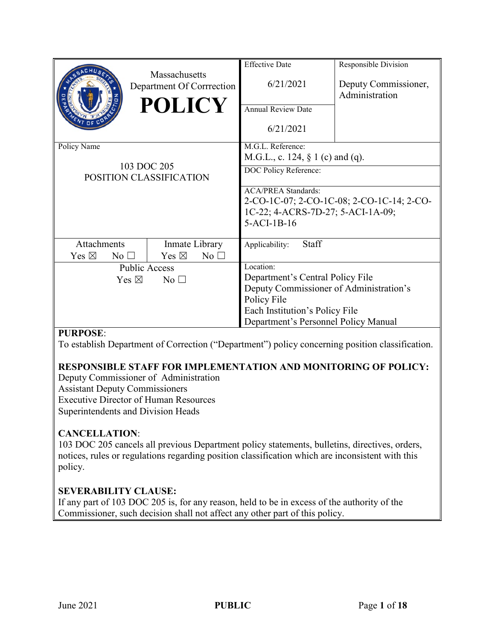|                                    |                                            | <b>Effective Date</b>                     | Responsible Division                   |
|------------------------------------|--------------------------------------------|-------------------------------------------|----------------------------------------|
|                                    | Massachusetts<br>Department Of Corrrection | 6/21/2021                                 | Deputy Commissioner,<br>Administration |
|                                    | <b>POLICY</b>                              |                                           |                                        |
|                                    |                                            | <b>Annual Review Date</b>                 |                                        |
|                                    |                                            | 6/21/2021                                 |                                        |
| Policy Name                        |                                            | M.G.L. Reference:                         |                                        |
|                                    |                                            | M.G.L., c. 124, $\S$ 1 (c) and (q).       |                                        |
|                                    | 103 DOC 205                                | DOC Policy Reference:                     |                                        |
| POSITION CLASSIFICATION            |                                            |                                           |                                        |
|                                    |                                            | <b>ACA/PREA Standards:</b>                |                                        |
|                                    |                                            | 2-CO-1C-07; 2-CO-1C-08; 2-CO-1C-14; 2-CO- |                                        |
|                                    |                                            | 1C-22; 4-ACRS-7D-27; 5-ACI-1A-09;         |                                        |
|                                    |                                            | $5-ACI-1B-16$                             |                                        |
|                                    |                                            |                                           |                                        |
| Attachments                        | Inmate Library                             | <b>Staff</b><br>Applicability:            |                                        |
| Yes $\boxtimes$<br>$No$ $\square$  | Yes $\boxtimes$<br>No <sub>1</sub>         |                                           |                                        |
| <b>Public Access</b>               |                                            | Location:                                 |                                        |
| Yes $\boxtimes$<br>No <sub>1</sub> |                                            | Department's Central Policy File          |                                        |
|                                    |                                            | Deputy Commissioner of Administration's   |                                        |
|                                    |                                            | Policy File                               |                                        |
|                                    |                                            | Each Institution's Policy File            |                                        |
|                                    |                                            | Department's Personnel Policy Manual      |                                        |

### **PURPOSE**:

To establish Department of Correction ("Department") policy concerning position classification.

# **RESPONSIBLE STAFF FOR IMPLEMENTATION AND MONITORING OF POLICY:**

Deputy Commissioner of Administration Assistant Deputy Commissioners Executive Director of Human Resources Superintendents and Division Heads

### **CANCELLATION**:

103 DOC 205 cancels all previous Department policy statements, bulletins, directives, orders, notices, rules or regulations regarding position classification which are inconsistent with this policy.

### **SEVERABILITY CLAUSE:**

If any part of 103 DOC 205 is, for any reason, held to be in excess of the authority of the Commissioner, such decision shall not affect any other part of this policy.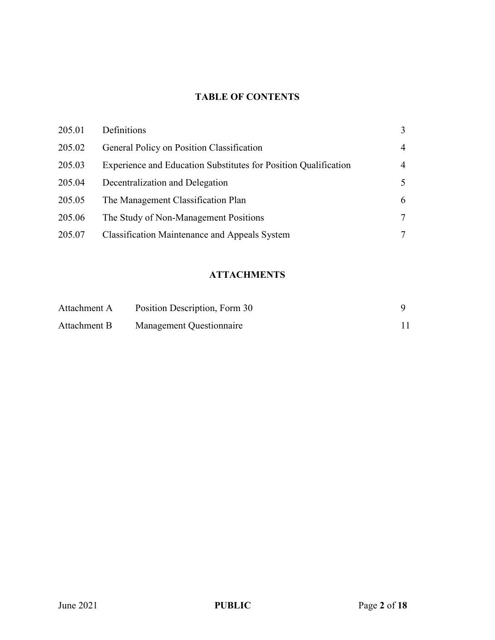# **TABLE OF CONTENTS**

| 205.01 | Definitions                                                     | 3              |
|--------|-----------------------------------------------------------------|----------------|
| 205.02 | General Policy on Position Classification                       | 4              |
| 205.03 | Experience and Education Substitutes for Position Qualification | $\overline{4}$ |
| 205.04 | Decentralization and Delegation                                 | 5              |
| 205.05 | The Management Classification Plan                              | 6              |
| 205.06 | The Study of Non-Management Positions                           | 7              |
| 205.07 | <b>Classification Maintenance and Appeals System</b>            | $\tau$         |

# **ATTACHMENTS**

| Attachment A | Position Description, Form 30 |  |
|--------------|-------------------------------|--|
| Attachment B | Management Questionnaire      |  |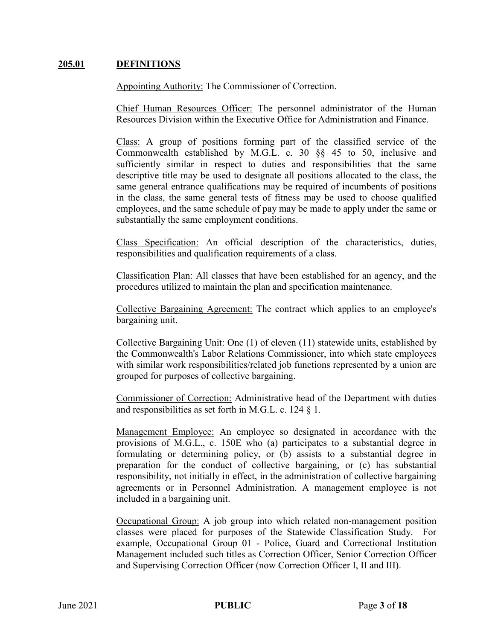#### **205.01 DEFINITIONS**

Appointing Authority: The Commissioner of Correction.

Chief Human Resources Officer: The personnel administrator of the Human Resources Division within the Executive Office for Administration and Finance.

Class: A group of positions forming part of the classified service of the Commonwealth established by M.G.L. c. 30 §§ 45 to 50, inclusive and sufficiently similar in respect to duties and responsibilities that the same descriptive title may be used to designate all positions allocated to the class, the same general entrance qualifications may be required of incumbents of positions in the class, the same general tests of fitness may be used to choose qualified employees, and the same schedule of pay may be made to apply under the same or substantially the same employment conditions.

Class Specification: An official description of the characteristics, duties, responsibilities and qualification requirements of a class.

Classification Plan: All classes that have been established for an agency, and the procedures utilized to maintain the plan and specification maintenance.

Collective Bargaining Agreement: The contract which applies to an employee's bargaining unit.

Collective Bargaining Unit: One (1) of eleven (11) statewide units, established by the Commonwealth's Labor Relations Commissioner, into which state employees with similar work responsibilities/related job functions represented by a union are grouped for purposes of collective bargaining.

Commissioner of Correction: Administrative head of the Department with duties and responsibilities as set forth in M.G.L. c. 124 § 1.

Management Employee: An employee so designated in accordance with the provisions of M.G.L., c. 150E who (a) participates to a substantial degree in formulating or determining policy, or (b) assists to a substantial degree in preparation for the conduct of collective bargaining, or (c) has substantial responsibility, not initially in effect, in the administration of collective bargaining agreements or in Personnel Administration. A management employee is not included in a bargaining unit.

Occupational Group: A job group into which related non-management position classes were placed for purposes of the Statewide Classification Study. For example, Occupational Group 01 - Police, Guard and Correctional Institution Management included such titles as Correction Officer, Senior Correction Officer and Supervising Correction Officer (now Correction Officer I, II and III).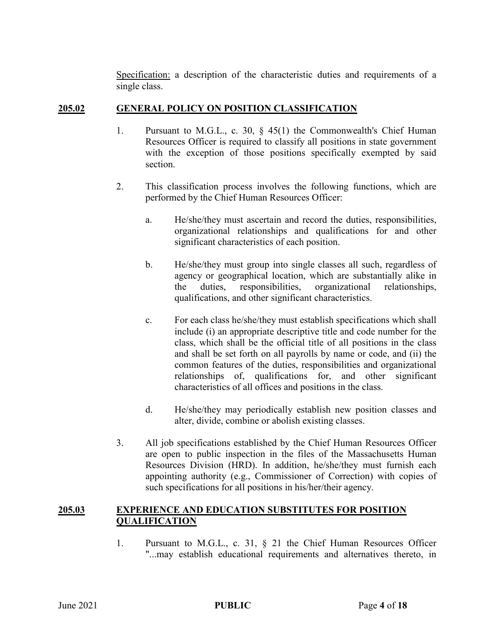Specification: a description of the characteristic duties and requirements of a single class.

### **205.02 GENERAL POLICY ON POSITION CLASSIFICATION**

- 1. Pursuant to M.G.L., c. 30, § 45(1) the Commonwealth's Chief Human Resources Officer is required to classify all positions in state government with the exception of those positions specifically exempted by said section.
- 2. This classification process involves the following functions, which are performed by the Chief Human Resources Officer:
	- a. He/she/they must ascertain and record the duties, responsibilities, organizational relationships and qualifications for and other significant characteristics of each position.
	- b. He/she/they must group into single classes all such, regardless of agency or geographical location, which are substantially alike in the duties, responsibilities, organizational relationships, qualifications, and other significant characteristics.
	- c. For each class he/she/they must establish specifications which shall include (i) an appropriate descriptive title and code number for the class, which shall be the official title of all positions in the class and shall be set forth on all payrolls by name or code, and (ii) the common features of the duties, responsibilities and organizational relationships of, qualifications for, and other significant characteristics of all offices and positions in the class.
	- d. He/she/they may periodically establish new position classes and alter, divide, combine or abolish existing classes.
- 3. All job specifications established by the Chief Human Resources Officer are open to public inspection in the files of the Massachusetts Human Resources Division (HRD). In addition, he/she/they must furnish each appointing authority (e.g., Commissioner of Correction) with copies of such specifications for all positions in his/her/their agency.

#### **205.03 EXPERIENCE AND EDUCATION SUBSTITUTES FOR POSITION QUALIFICATION**

1. Pursuant to M.G.L., c. 31, § 21 the Chief Human Resources Officer "...may establish educational requirements and alternatives thereto, in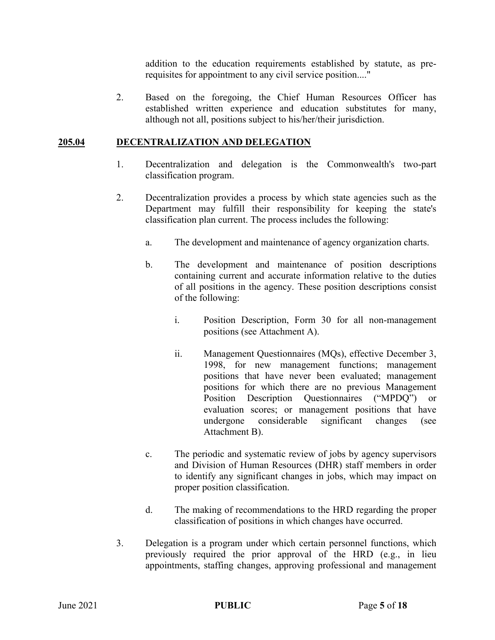addition to the education requirements established by statute, as prerequisites for appointment to any civil service position...."

2. Based on the foregoing, the Chief Human Resources Officer has established written experience and education substitutes for many, although not all, positions subject to his/her/their jurisdiction.

### **205.04 DECENTRALIZATION AND DELEGATION**

- 1. Decentralization and delegation is the Commonwealth's two-part classification program.
- 2. Decentralization provides a process by which state agencies such as the Department may fulfill their responsibility for keeping the state's classification plan current. The process includes the following:
	- a. The development and maintenance of agency organization charts.
	- b. The development and maintenance of position descriptions containing current and accurate information relative to the duties of all positions in the agency. These position descriptions consist of the following:
		- i. Position Description, Form 30 for all non-management positions (see Attachment A).
		- ii. Management Questionnaires (MQs), effective December 3, 1998, for new management functions; management positions that have never been evaluated; management positions for which there are no previous Management Position Description Questionnaires ("MPDQ") or evaluation scores; or management positions that have undergone considerable significant changes (see Attachment B).
	- c. The periodic and systematic review of jobs by agency supervisors and Division of Human Resources (DHR) staff members in order to identify any significant changes in jobs, which may impact on proper position classification.
	- d. The making of recommendations to the HRD regarding the proper classification of positions in which changes have occurred.
- 3. Delegation is a program under which certain personnel functions, which previously required the prior approval of the HRD (e.g., in lieu appointments, staffing changes, approving professional and management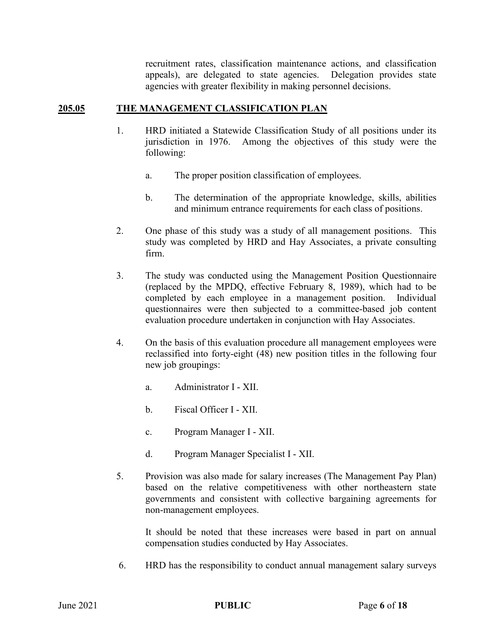recruitment rates, classification maintenance actions, and classification appeals), are delegated to state agencies. Delegation provides state agencies with greater flexibility in making personnel decisions.

### **205.05 THE MANAGEMENT CLASSIFICATION PLAN**

- 1. HRD initiated a Statewide Classification Study of all positions under its jurisdiction in 1976. Among the objectives of this study were the following:
	- a. The proper position classification of employees.
	- b. The determination of the appropriate knowledge, skills, abilities and minimum entrance requirements for each class of positions.
- 2. One phase of this study was a study of all management positions. This study was completed by HRD and Hay Associates, a private consulting firm.
- 3. The study was conducted using the Management Position Questionnaire (replaced by the MPDQ, effective February 8, 1989), which had to be completed by each employee in a management position. Individual questionnaires were then subjected to a committee-based job content evaluation procedure undertaken in conjunction with Hay Associates.
- 4. On the basis of this evaluation procedure all management employees were reclassified into forty-eight (48) new position titles in the following four new job groupings:
	- a. Administrator I XII.
	- b. Fiscal Officer I XII.
	- c. Program Manager I XII.
	- d. Program Manager Specialist I XII.
- 5. Provision was also made for salary increases (The Management Pay Plan) based on the relative competitiveness with other northeastern state governments and consistent with collective bargaining agreements for non-management employees.

It should be noted that these increases were based in part on annual compensation studies conducted by Hay Associates.

6. HRD has the responsibility to conduct annual management salary surveys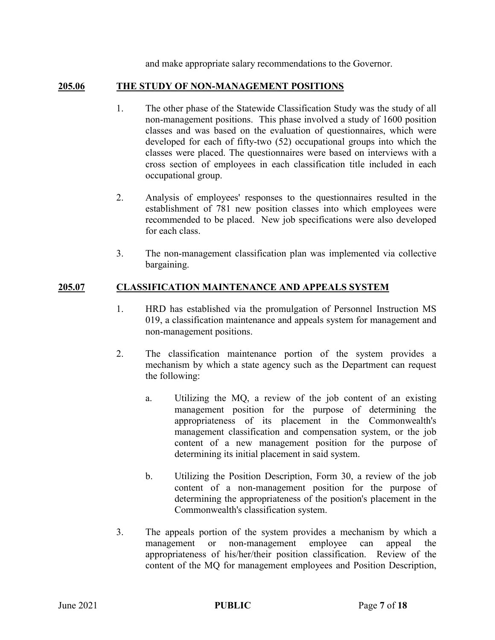and make appropriate salary recommendations to the Governor.

#### **205.06 THE STUDY OF NON-MANAGEMENT POSITIONS**

- 1. The other phase of the Statewide Classification Study was the study of all non-management positions. This phase involved a study of 1600 position classes and was based on the evaluation of questionnaires, which were developed for each of fifty-two (52) occupational groups into which the classes were placed. The questionnaires were based on interviews with a cross section of employees in each classification title included in each occupational group.
- 2. Analysis of employees' responses to the questionnaires resulted in the establishment of 781 new position classes into which employees were recommended to be placed. New job specifications were also developed for each class.
- 3. The non-management classification plan was implemented via collective bargaining.

#### **205.07 CLASSIFICATION MAINTENANCE AND APPEALS SYSTEM**

- 1. HRD has established via the promulgation of Personnel Instruction MS 019, a classification maintenance and appeals system for management and non-management positions.
- 2. The classification maintenance portion of the system provides a mechanism by which a state agency such as the Department can request the following:
	- a. Utilizing the MQ, a review of the job content of an existing management position for the purpose of determining the appropriateness of its placement in the Commonwealth's management classification and compensation system, or the job content of a new management position for the purpose of determining its initial placement in said system.
	- b. Utilizing the Position Description, Form 30, a review of the job content of a non-management position for the purpose of determining the appropriateness of the position's placement in the Commonwealth's classification system.
- 3. The appeals portion of the system provides a mechanism by which a management or non-management employee can appeal the appropriateness of his/her/their position classification. Review of the content of the MQ for management employees and Position Description,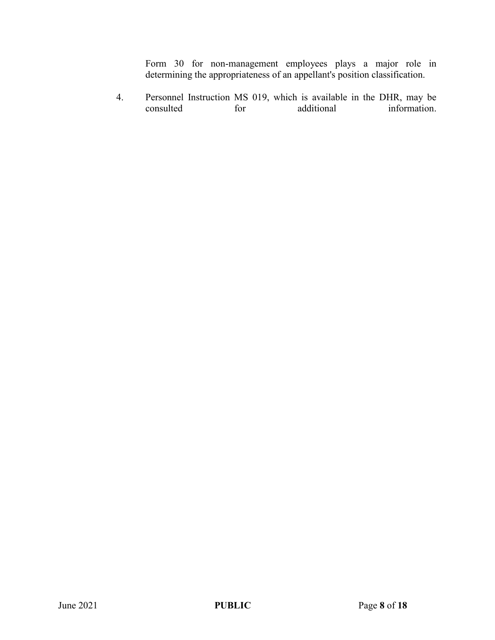Form 30 for non-management employees plays a major role in determining the appropriateness of an appellant's position classification.

4. Personnel Instruction MS 019, which is available in the DHR, may be consulted for additional information. information.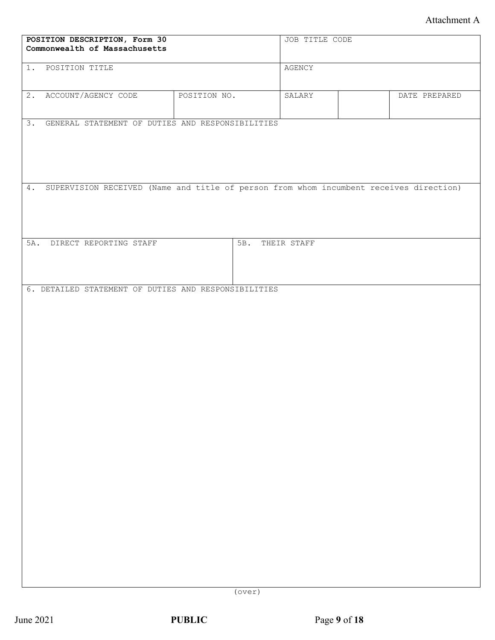# Attachment A

| POSITION DESCRIPTION, Form 30<br>Commonwealth of Massachusetts                            |              |                 | JOB TITLE CODE |  |               |
|-------------------------------------------------------------------------------------------|--------------|-----------------|----------------|--|---------------|
| 1. POSITION TITLE                                                                         |              | AGENCY          |                |  |               |
| 2. ACCOUNT/AGENCY CODE                                                                    | POSITION NO. |                 | SALARY         |  | DATE PREPARED |
| 3. GENERAL STATEMENT OF DUTIES AND RESPONSIBILITIES                                       |              |                 |                |  |               |
| 4. SUPERVISION RECEIVED (Name and title of person from whom incumbent receives direction) |              |                 |                |  |               |
| 5A. DIRECT REPORTING STAFF                                                                |              | 5B. THEIR STAFF |                |  |               |
| 6. DETAILED STATEMENT OF DUTIES AND RESPONSIBILITIES                                      |              | (over)          |                |  |               |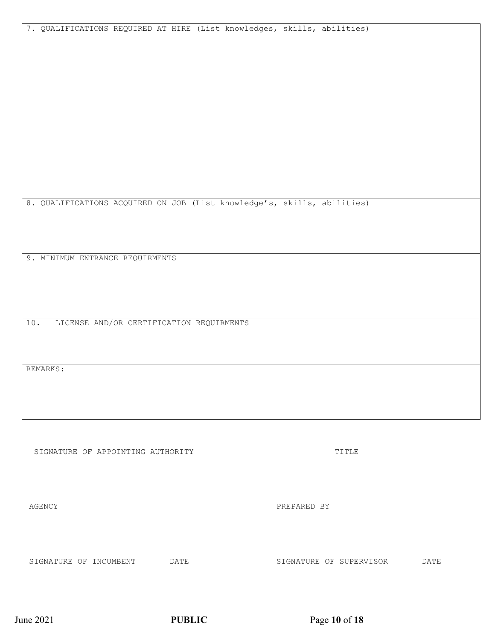|           | SIGNATURE OF INCUMBENT |  |
|-----------|------------------------|--|
|           |                        |  |
|           |                        |  |
|           |                        |  |
|           |                        |  |
|           |                        |  |
|           |                        |  |
|           |                        |  |
| June 2021 |                        |  |
|           |                        |  |
|           |                        |  |
|           |                        |  |
|           |                        |  |

| +D+<br>. | יי<br>L | ומ |  |
|----------|---------|----|--|
|----------|---------|----|--|

)<br>DATE SIGNATURE OF SUPERVISOR DATE

SIGNATURE OF APPOINTING AUTHORITY TITLE THE TITLE

8. QUALIFICATIONS ACQUIRED ON JOB (List knowledge's, skills, abilities)

7. QUALIFICATIONS REQUIRED AT HIRE (List knowledges, skills, abilities)

9. MINIMUM ENTRANCE REQUIRMENTS

10. LICENSE AND/OR CERTIFICATION REQUIRMENTS

REMARKS:

AGENCY PREPARED BY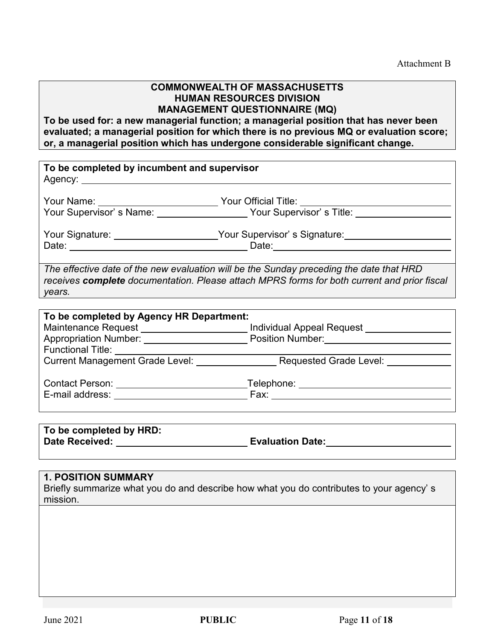### **COMMONWEALTH OF MASSACHUSETTS HUMAN RESOURCES DIVISION MANAGEMENT QUESTIONNAIRE (MQ)**

**To be used for: a new managerial function; a managerial position that has never been evaluated; a managerial position for which there is no previous MQ or evaluation score; or, a managerial position which has undergone considerable significant change.**

| To be completed by incumbent and supervisor |                                                                                                        |
|---------------------------------------------|--------------------------------------------------------------------------------------------------------|
| Your Name: _______________________          | Your Official Title: <u>______________________</u><br>Your Supervisor's Name: Your Supervisor's Title: |
|                                             | Your Supervisor's Signature:<br>Date: ________________________                                         |
|                                             | The effective date of the new evaluation will be the Sunday preceding the date that HRD                |

*receives complete documentation. Please attach MPRS forms for both current and prior fiscal years.*

| To be completed by Agency HR Department: |                           |
|------------------------------------------|---------------------------|
| <b>Maintenance Request</b>               | Individual Appeal Request |
| <b>Appropriation Number:</b>             | <b>Position Number:</b>   |
| <b>Functional Title:</b>                 |                           |
| <b>Current Management Grade Level:</b>   | Requested Grade Level:    |
|                                          |                           |
| <b>Contact Person:</b>                   | Telephone: ______________ |
| E-mail address:                          | Fax: ___                  |
|                                          |                           |
|                                          |                           |

**To be completed by HRD: Date Received: Evaluation Date:**

# **1. POSITION SUMMARY**

Briefly summarize what you do and describe how what you do contributes to your agency' s mission.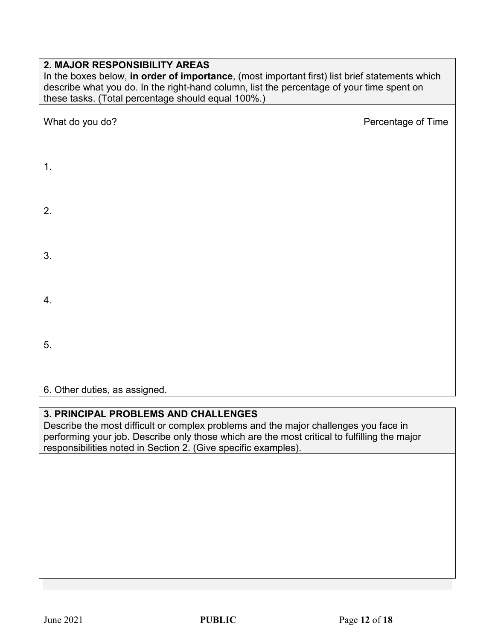| 2. MAJOR RESPONSIBILITY AREAS                                                                  |
|------------------------------------------------------------------------------------------------|
| In the boxes below, in order of importance, (most important first) list brief statements which |
| describe what you do. In the right-hand column, list the percentage of your time spent on      |
| these tasks. (Total percentage should equal 100%.)                                             |
|                                                                                                |

| What do you do?               | Percentage of Time |
|-------------------------------|--------------------|
| 1.                            |                    |
| 2.                            |                    |
| 3.                            |                    |
| 4.                            |                    |
| 5.                            |                    |
| 6. Other duties, as assigned. |                    |

# **3. PRINCIPAL PROBLEMS AND CHALLENGES**

Describe the most difficult or complex problems and the major challenges you face in performing your job. Describe only those which are the most critical to fulfilling the major responsibilities noted in Section 2. (Give specific examples).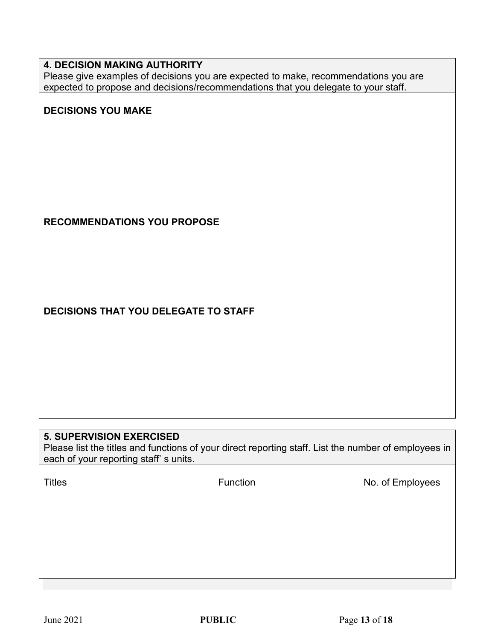## **4. DECISION MAKING AUTHORITY**

Please give examples of decisions you are expected to make, recommendations you are expected to propose and decisions/recommendations that you delegate to your staff.

## **DECISIONS YOU MAKE**

## **RECOMMENDATIONS YOU PROPOSE**

# **DECISIONS THAT YOU DELEGATE TO STAFF**

### **5. SUPERVISION EXERCISED**

Please list the titles and functions of your direct reporting staff. List the number of employees in each of your reporting staff' s units.

Titles **Function** Function **No. of Employees**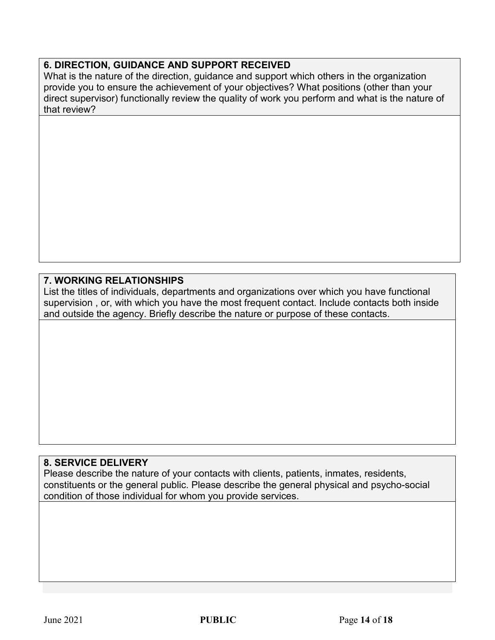# **6. DIRECTION, GUIDANCE AND SUPPORT RECEIVED**

What is the nature of the direction, guidance and support which others in the organization provide you to ensure the achievement of your objectives? What positions (other than your direct supervisor) functionally review the quality of work you perform and what is the nature of that review?

# **7. WORKING RELATIONSHIPS**

List the titles of individuals, departments and organizations over which you have functional supervision , or, with which you have the most frequent contact. Include contacts both inside and outside the agency. Briefly describe the nature or purpose of these contacts.

# **8. SERVICE DELIVERY**

Please describe the nature of your contacts with clients, patients, inmates, residents, constituents or the general public. Please describe the general physical and psycho-social condition of those individual for whom you provide services.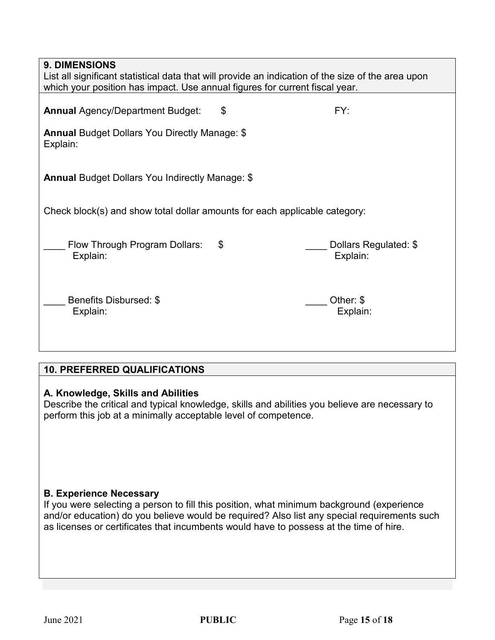| <b>9. DIMENSIONS</b><br>List all significant statistical data that will provide an indication of the size of the area upon<br>which your position has impact. Use annual figures for current fiscal year. |    |                                   |  |  |
|-----------------------------------------------------------------------------------------------------------------------------------------------------------------------------------------------------------|----|-----------------------------------|--|--|
| <b>Annual Agency/Department Budget:</b>                                                                                                                                                                   | \$ | FY:                               |  |  |
| <b>Annual Budget Dollars You Directly Manage: \$</b><br>Explain:                                                                                                                                          |    |                                   |  |  |
| <b>Annual Budget Dollars You Indirectly Manage: \$</b>                                                                                                                                                    |    |                                   |  |  |
| Check block(s) and show total dollar amounts for each applicable category:                                                                                                                                |    |                                   |  |  |
| Flow Through Program Dollars:<br>Explain:                                                                                                                                                                 | \$ | Dollars Regulated: \$<br>Explain: |  |  |
| Benefits Disbursed: \$<br>Explain:                                                                                                                                                                        |    | Other: \$<br>Explain:             |  |  |

# **10. PREFERRED QUALIFICATIONS**

# **A. Knowledge, Skills and Abilities**

Describe the critical and typical knowledge, skills and abilities you believe are necessary to perform this job at a minimally acceptable level of competence.

# **B. Experience Necessary**

If you were selecting a person to fill this position, what minimum background (experience and/or education) do you believe would be required? Also list any special requirements such as licenses or certificates that incumbents would have to possess at the time of hire.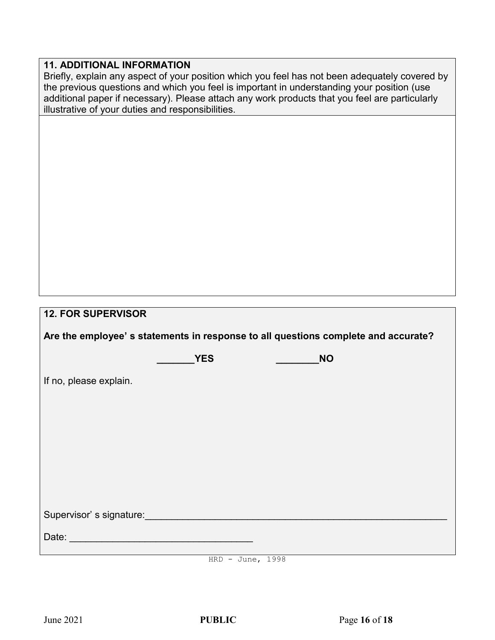## **11. ADDITIONAL INFORMATION**

Briefly, explain any aspect of your position which you feel has not been adequately covered by the previous questions and which you feel is important in understanding your position (use additional paper if necessary). Please attach any work products that you feel are particularly illustrative of your duties and responsibilities.

## **12. FOR SUPERVISOR**

|  | Are the employee's statements in response to all questions complete and accurate? |
|--|-----------------------------------------------------------------------------------|
|--|-----------------------------------------------------------------------------------|

 **\_\_\_\_\_\_\_YES \_\_\_\_\_\_\_\_NO**

If no, please explain.

Supervisor' s signature:\_\_\_\_\_\_\_\_\_\_\_\_\_\_\_\_\_\_\_\_\_\_\_\_\_\_\_\_\_\_\_\_\_\_\_\_\_\_\_\_\_\_\_\_\_\_\_\_\_\_\_\_\_\_\_\_

Date:

HRD - June, 1998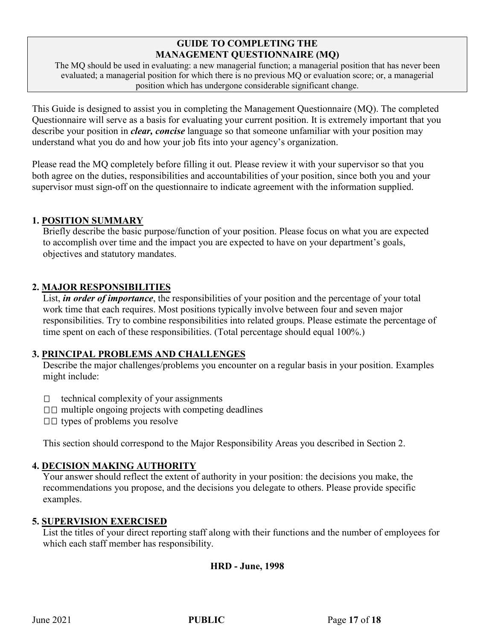### **GUIDE TO COMPLETING THE MANAGEMENT QUESTIONNAIRE (MQ)**

The MQ should be used in evaluating: a new managerial function; a managerial position that has never been evaluated; a managerial position for which there is no previous MQ or evaluation score; or, a managerial position which has undergone considerable significant change.

This Guide is designed to assist you in completing the Management Questionnaire (MQ). The completed Questionnaire will serve as a basis for evaluating your current position. It is extremely important that you describe your position in *clear, concise* language so that someone unfamiliar with your position may understand what you do and how your job fits into your agency's organization.

Please read the MQ completely before filling it out. Please review it with your supervisor so that you both agree on the duties, responsibilities and accountabilities of your position, since both you and your supervisor must sign-off on the questionnaire to indicate agreement with the information supplied.

## **1. POSITION SUMMARY**

Briefly describe the basic purpose/function of your position. Please focus on what you are expected to accomplish over time and the impact you are expected to have on your department's goals, objectives and statutory mandates.

## **2. MAJOR RESPONSIBILITIES**

List, *in order of importance*, the responsibilities of your position and the percentage of your total work time that each requires. Most positions typically involve between four and seven major responsibilities. Try to combine responsibilities into related groups. Please estimate the percentage of time spent on each of these responsibilities. (Total percentage should equal 100%.)

### **3. PRINCIPAL PROBLEMS AND CHALLENGES**

Describe the major challenges/problems you encounter on a regular basis in your position. Examples might include:

- $\Box$  technical complexity of your assignments
- $\square$  multiple ongoing projects with competing deadlines
- $\square$  T types of problems you resolve

This section should correspond to the Major Responsibility Areas you described in Section 2.

# **4. DECISION MAKING AUTHORITY**

Your answer should reflect the extent of authority in your position: the decisions you make, the recommendations you propose, and the decisions you delegate to others. Please provide specific examples.

### **5. SUPERVISION EXERCISED**

List the titles of your direct reporting staff along with their functions and the number of employees for which each staff member has responsibility.

### **HRD - June, 1998**